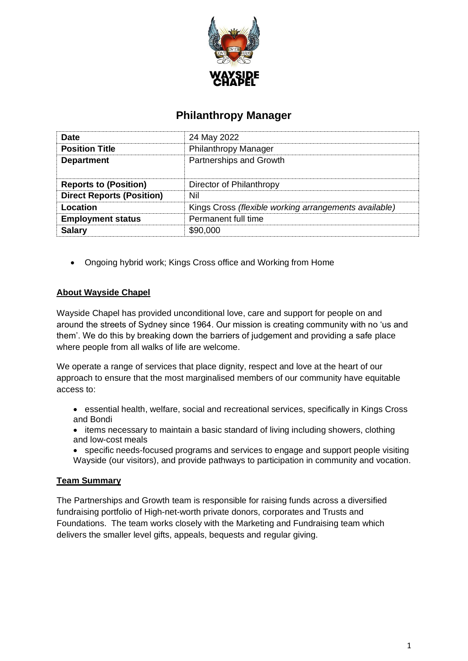

# **Philanthropy Manager**

| <b>Date</b>                      | 24 May 2022                                           |
|----------------------------------|-------------------------------------------------------|
| <b>Position Title</b>            | <b>Philanthropy Manager</b>                           |
| <b>Department</b>                | Partnerships and Growth                               |
| <b>Reports to (Position)</b>     | Director of Philanthropy                              |
| <b>Direct Reports (Position)</b> | Nil                                                   |
| Location                         | Kings Cross (flexible working arrangements available) |
| <b>Employment status</b>         | Permanent full time                                   |
| <b>Salary</b>                    | \$90,000                                              |

• Ongoing hybrid work; Kings Cross office and Working from Home

# **About Wayside Chapel**

Wayside Chapel has provided unconditional love, care and support for people on and around the streets of Sydney since 1964. Our mission is creating community with no 'us and them'. We do this by breaking down the barriers of judgement and providing a safe place where people from all walks of life are welcome.

We operate a range of services that place dignity, respect and love at the heart of our approach to ensure that the most marginalised members of our community have equitable access to:

- essential health, welfare, social and recreational services, specifically in Kings Cross and Bondi
- items necessary to maintain a basic standard of living including showers, clothing and low-cost meals
- specific needs-focused programs and services to engage and support people visiting Wayside (our visitors), and provide pathways to participation in community and vocation.

# **Team Summary**

The Partnerships and Growth team is responsible for raising funds across a diversified fundraising portfolio of High-net-worth private donors, corporates and Trusts and Foundations. The team works closely with the Marketing and Fundraising team which delivers the smaller level gifts, appeals, bequests and regular giving.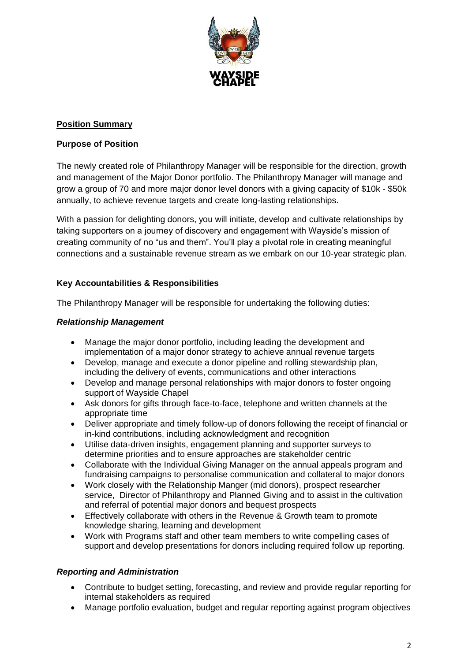

# **Position Summary**

# **Purpose of Position**

The newly created role of Philanthropy Manager will be responsible for the direction, growth and management of the Major Donor portfolio. The Philanthropy Manager will manage and grow a group of 70 and more major donor level donors with a giving capacity of \$10k - \$50k annually, to achieve revenue targets and create long-lasting relationships.

With a passion for delighting donors, you will initiate, develop and cultivate relationships by taking supporters on a journey of discovery and engagement with Wayside's mission of creating community of no "us and them". You'll play a pivotal role in creating meaningful connections and a sustainable revenue stream as we embark on our 10-year strategic plan.

# **Key Accountabilities & Responsibilities**

The Philanthropy Manager will be responsible for undertaking the following duties:

# *Relationship Management*

- Manage the major donor portfolio, including leading the development and implementation of a major donor strategy to achieve annual revenue targets
- Develop, manage and execute a donor pipeline and rolling stewardship plan, including the delivery of events, communications and other interactions
- Develop and manage personal relationships with major donors to foster ongoing support of Wayside Chapel
- Ask donors for gifts through face-to-face, telephone and written channels at the appropriate time
- Deliver appropriate and timely follow-up of donors following the receipt of financial or in-kind contributions, including acknowledgment and recognition
- Utilise data-driven insights, engagement planning and supporter surveys to determine priorities and to ensure approaches are stakeholder centric
- Collaborate with the Individual Giving Manager on the annual appeals program and fundraising campaigns to personalise communication and collateral to major donors
- Work closely with the Relationship Manger (mid donors), prospect researcher service, Director of Philanthropy and Planned Giving and to assist in the cultivation and referral of potential major donors and bequest prospects
- Effectively collaborate with others in the Revenue & Growth team to promote knowledge sharing, learning and development
- Work with Programs staff and other team members to write compelling cases of support and develop presentations for donors including required follow up reporting.

# *Reporting and Administration*

- Contribute to budget setting, forecasting, and review and provide regular reporting for internal stakeholders as required
- Manage portfolio evaluation, budget and regular reporting against program objectives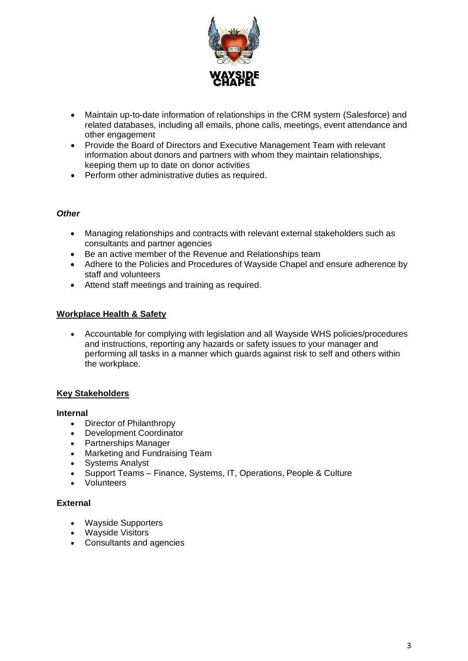

- Maintain up-to-date information of relationships in the CRM system (Salesforce) and related databases, including all emails, phone calls, meetings, event attendance and other engagement
- Provide the Board of Directors and Executive Management Team with relevant information about donors and partners with whom they maintain relationships, keeping them up to date on donor activities
- Perform other administrative duties as required.

## *Other*

- Managing relationships and contracts with relevant external stakeholders such as consultants and partner agencies
- Be an active member of the Revenue and Relationships team
- Adhere to the Policies and Procedures of Wayside Chapel and ensure adherence by staff and volunteers
- Attend staff meetings and training as required.

## **Workplace Health & Safety**

• Accountable for complying with legislation and all Wayside WHS policies/procedures and instructions, reporting any hazards or safety issues to your manager and performing all tasks in a manner which guards against risk to self and others within the workplace.

# **Key Stakeholders**

## **Internal**

- Director of Philanthropy
- Development Coordinator
- Partnerships Manager
- Marketing and Fundraising Team
- Systems Analyst
- Support Teams Finance, Systems, IT, Operations, People & Culture
- Volunteers

## **External**

- Wayside Supporters
- Wayside Visitors
- Consultants and agencies